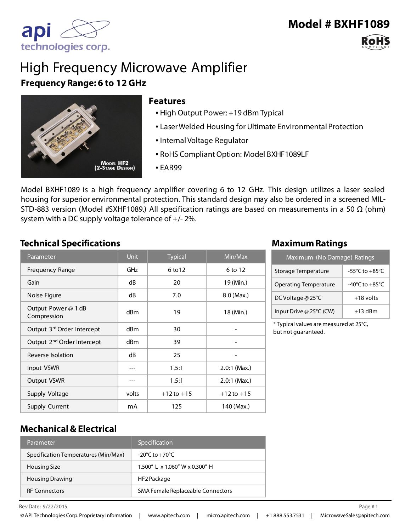# **Model # BXHF1089**

# High Frequency Microwave Amplifier **Frequency Range: 6 to 12 GHz**



#### **Features**

- High Output Power: +19 dBm Typical
- Laser Welded Housing for Ultimate Environmental Protection
- Internal Voltage Regulator
- RoHS Compliant Option: Model BXHF1089LF
- EAR99

Model BXHF1089 is a high frequency amplifier covering 6 to 12 GHz. This design utilizes a laser sealed housing for superior environmental protection. This standard design may also be ordered in a screened MIL-STD-883 version (Model #SXHF1089.) All specification ratings are based on measurements in a 50  $\Omega$  (ohm) system with a DC supply voltage tolerance of +/- 2%.

#### **Technical Specifications Maximum Ratings**

| Parameter                              | <b>Unit</b>     | <b>Typical</b> | Min/Max        |
|----------------------------------------|-----------------|----------------|----------------|
| Frequency Range                        | GHz             | 6 to 12        | 6 to 12        |
| Gain                                   | dB              | 20             | 19 (Min.)      |
| Noise Figure                           | dB              | 7.0            | $8.0$ (Max.)   |
| Output Power @ 1 dB<br>Compression     | dBm             | 19             | 18 (Min.)      |
| Output 3rd Order Intercept             | d <sub>Bm</sub> | 30             |                |
| Output 2 <sup>nd</sup> Order Intercept | d <sub>Bm</sub> | 39             |                |
| Reverse Isolation                      | dB              | 25             |                |
| Input VSWR                             | ---             | 1.5:1          | $2.0:1$ (Max.) |
| Output VSWR                            |                 | 1.5:1          | $2.0:1$ (Max.) |
| Supply Voltage                         | volts           | $+12$ to $+15$ | $+12$ to $+15$ |
| Supply Current                         | mA              | 125            | 140 (Max.)     |

| Maximum (No Damage) Ratings  |                                      |  |
|------------------------------|--------------------------------------|--|
| Storage Temperature          | $-55^{\circ}$ C to $+85^{\circ}$ C   |  |
| <b>Operating Temperature</b> | -40 $^{\circ}$ C to +85 $^{\circ}$ C |  |
| DC Voltage @ 25°C            | $+18$ volts                          |  |
| Input Drive @ 25°C (CW)      | $+13$ dBm                            |  |

\* Typical values are measured at 25°C, but not guaranteed.

### **Mechanical & Electrical**

| Parameter                            | Specification                      |
|--------------------------------------|------------------------------------|
| Specification Temperatures (Min/Max) | $-20^{\circ}$ C to $+70^{\circ}$ C |
| Housing Size                         | 1.500" L x 1.060" W x 0.300" H     |
| <b>Housing Drawing</b>               | HF2 Package                        |
| <b>RF Connectors</b>                 | SMA Female Replaceable Connectors  |

 $\mathsf{Rev}\,\mathsf{Date}:9/22/2015$ 

© API Technologies Corp. Proprietary Information | www.apitech.com | micro.apitech.com | +1.888.553.7531 | MicrowaveSales@apitech.com

9/22/2015 1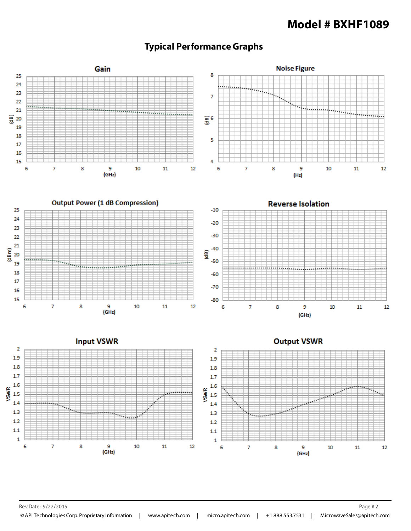# **Model # BXHF1089**



# **Typical Performance Graphs**

Rev Date: 9/22/2015 Page # 2

© API Technologies Corp. Proprietary Information | www.apitech.com | micro.apitech.com | +1.888.553.7531 | MicrowaveSales@apitech.com